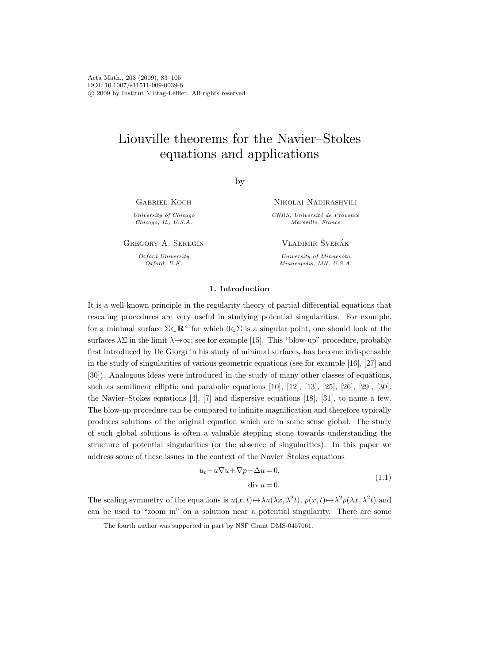# Liouville theorems for the Navier–Stokes equations and applications

by

Gabriel Koch

University of Chicago Chicago, IL, U.S.A.

Gregory A. Seregin

Oxford University Oxford, U.K.

Nikolai Nadirashvili

CNRS, Université de Provence Marseille, France

VLADIMIR ŠVERÁK

University of Minnesota Minneapolis, MN, U.S.A.

# 1. Introduction

It is a well-known principle in the regularity theory of partial differential equations that rescaling procedures are very useful in studying potential singularities. For example, for a minimal surface  $\Sigma \subset \mathbb{R}^n$  for which  $0 \in \Sigma$  is a singular point, one should look at the surfaces  $\lambda \Sigma$  in the limit  $\lambda \rightarrow \infty$ ; see for example [15]. This "blow-up" procedure, probably first introduced by De Giorgi in his study of minimal surfaces, has become indispensable in the study of singularities of various geometric equations (see for example [16], [27] and [30]). Analogous ideas were introduced in the study of many other classes of equations, such as semilinear elliptic and parabolic equations [10], [12], [13], [25], [26], [29], [30], the Navier–Stokes equations [4], [7] and dispersive equations [18], [31], to name a few. The blow-up procedure can be compared to infinite magnification and therefore typically produces solutions of the original equation which are in some sense global. The study of such global solutions is often a valuable stepping stone towards understanding the structure of potential singularities (or the absence of singularities). In this paper we address some of these issues in the context of the Navier–Stokes equations

$$
u_t + u\nabla u + \nabla p - \Delta u = 0,
$$
  
div  $u = 0$ . (1.1)

The scaling symmetry of the equations is  $u(x,t) \mapsto \lambda u(\lambda x, \lambda^2 t)$ ,  $p(x,t) \mapsto \lambda^2 p(\lambda x, \lambda^2 t)$  and can be used to "zoom in" on a solution near a potential singularity. There are some

The fourth author was supported in part by NSF Grant DMS-0457061.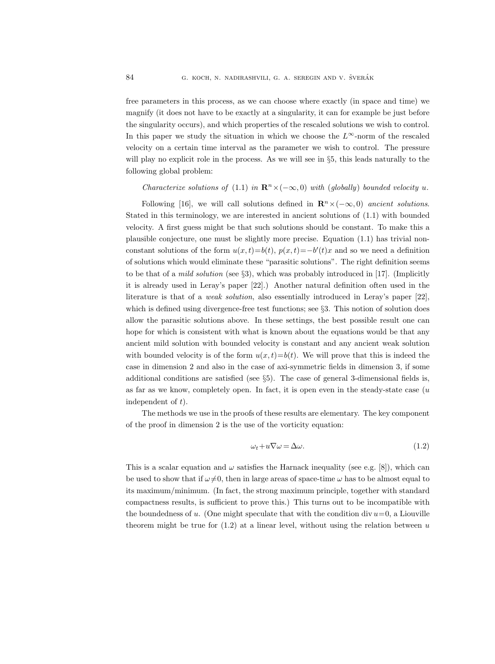free parameters in this process, as we can choose where exactly (in space and time) we magnify (it does not have to be exactly at a singularity, it can for example be just before the singularity occurs), and which properties of the rescaled solutions we wish to control. In this paper we study the situation in which we choose the  $L^{\infty}$ -norm of the rescaled velocity on a certain time interval as the parameter we wish to control. The pressure will play no explicit role in the process. As we will see in §5, this leads naturally to the following global problem:

# Characterize solutions of (1.1) in  $\mathbb{R}^n \times (-\infty, 0)$  with (globally) bounded velocity u.

Following [16], we will call solutions defined in  $\mathbb{R}^n \times (-\infty, 0)$  ancient solutions. Stated in this terminology, we are interested in ancient solutions of (1.1) with bounded velocity. A first guess might be that such solutions should be constant. To make this a plausible conjecture, one must be slightly more precise. Equation (1.1) has trivial nonconstant solutions of the form  $u(x,t) = b(t)$ ,  $p(x,t) = -b'(t)x$  and so we need a definition of solutions which would eliminate these "parasitic solutions". The right definition seems to be that of a *mild solution* (see  $\S3$ ), which was probably introduced in [17]. (Implicitly it is already used in Leray's paper [22].) Another natural definition often used in the literature is that of a weak solution, also essentially introduced in Leray's paper [22], which is defined using divergence-free test functions; see §3. This notion of solution does allow the parasitic solutions above. In these settings, the best possible result one can hope for which is consistent with what is known about the equations would be that any ancient mild solution with bounded velocity is constant and any ancient weak solution with bounded velocity is of the form  $u(x, t)=b(t)$ . We will prove that this is indeed the case in dimension 2 and also in the case of axi-symmetric fields in dimension 3, if some additional conditions are satisfied (see §5). The case of general 3-dimensional fields is, as far as we know, completely open. In fact, it is open even in the steady-state case  $(u)$ independent of  $t$ ).

The methods we use in the proofs of these results are elementary. The key component of the proof in dimension 2 is the use of the vorticity equation:

$$
\omega_t + u \nabla \omega = \Delta \omega. \tag{1.2}
$$

This is a scalar equation and  $\omega$  satisfies the Harnack inequality (see e.g. [8]), which can be used to show that if  $\omega \neq 0$ , then in large areas of space-time  $\omega$  has to be almost equal to its maximum/minimum. (In fact, the strong maximum principle, together with standard compactness results, is sufficient to prove this.) This turns out to be incompatible with the boundedness of u. (One might speculate that with the condition div  $u=0$ , a Liouville theorem might be true for  $(1.2)$  at a linear level, without using the relation between u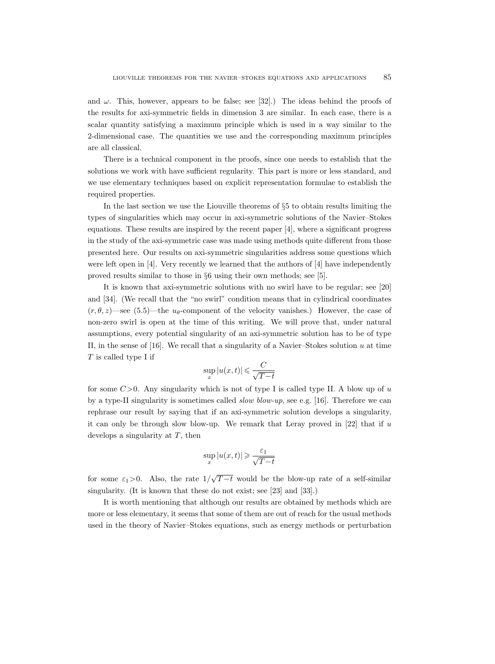and  $\omega$ . This, however, appears to be false; see [32].) The ideas behind the proofs of the results for axi-symmetric fields in dimension 3 are similar. In each case, there is a scalar quantity satisfying a maximum principle which is used in a way similar to the 2-dimensional case. The quantities we use and the corresponding maximum principles are all classical.

There is a technical component in the proofs, since one needs to establish that the solutions we work with have sufficient regularity. This part is more or less standard, and we use elementary techniques based on explicit representation formulae to establish the required properties.

In the last section we use the Liouville theorems of §5 to obtain results limiting the types of singularities which may occur in axi-symmetric solutions of the Navier–Stokes equations. These results are inspired by the recent paper [4], where a significant progress in the study of the axi-symmetric case was made using methods quite different from those presented here. Our results on axi-symmetric singularities address some questions which were left open in  $[4]$ . Very recently we learned that the authors of  $[4]$  have independently proved results similar to those in §6 using their own methods; see [5].

It is known that axi-symmetric solutions with no swirl have to be regular; see [20] and [34]. (We recall that the "no swirl" condition means that in cylindrical coordinates  $(r, \theta, z)$ —see (5.5)—the u<sub> $\theta$ </sub>-component of the velocity vanishes.) However, the case of non-zero swirl is open at the time of this writing. We will prove that, under natural assumptions, every potential singularity of an axi-symmetric solution has to be of type II, in the sense of [16]. We recall that a singularity of a Navier–Stokes solution  $u$  at time T is called type I if

$$
\sup_x |u(x,t)| \leqslant \frac{C}{\sqrt{T-t}}
$$

for some  $C>0$ . Any singularity which is not of type I is called type II. A blow up of u by a type-II singularity is sometimes called *slow blow-up*, see e.g. [16]. Therefore we can rephrase our result by saying that if an axi-symmetric solution develops a singularity, it can only be through slow blow-up. We remark that Leray proved in  $[22]$  that if u develops a singularity at  $T$ , then

$$
\sup_x |u(x,t)| \geqslant \frac{\varepsilon_1}{\sqrt{T-t}}
$$

for some  $\varepsilon_1>0$ . Also, the rate  $1/$ √  $T-t$  would be the blow-up rate of a self-similar singularity. (It is known that these do not exist; see [23] and [33].)

It is worth mentioning that although our results are obtained by methods which are more or less elementary, it seems that some of them are out of reach for the usual methods used in the theory of Navier–Stokes equations, such as energy methods or perturbation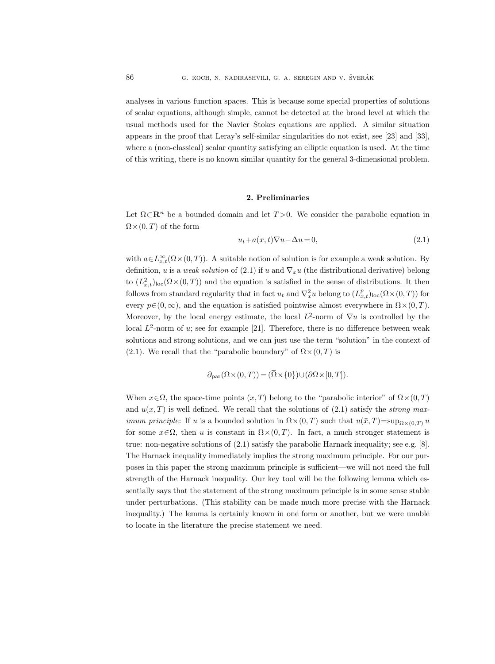analyses in various function spaces. This is because some special properties of solutions of scalar equations, although simple, cannot be detected at the broad level at which the usual methods used for the Navier–Stokes equations are applied. A similar situation appears in the proof that Leray's self-similar singularities do not exist, see [23] and [33], where a (non-classical) scalar quantity satisfying an elliptic equation is used. At the time of this writing, there is no known similar quantity for the general 3-dimensional problem.

#### 2. Preliminaries

Let  $\Omega \subset \mathbb{R}^n$  be a bounded domain and let  $T > 0$ . We consider the parabolic equation in  $\Omega\times(0,T)$  of the form

$$
u_t + a(x, t)\nabla u - \Delta u = 0,\t\t(2.1)
$$

with  $a \in L^{\infty}_{x,t}(\Omega \times (0,T))$ . A suitable notion of solution is for example a weak solution. By definition, u is a weak solution of (2.1) if u and  $\nabla_x u$  (the distributional derivative) belong to  $(L_{x,t}^2)_{loc}(\Omega \times (0,T))$  and the equation is satisfied in the sense of distributions. It then follows from standard regularity that in fact  $u_t$  and  $\nabla_x^2 u$  belong to  $(L_{x,t}^p)_{\text{loc}}(\Omega \times (0,T))$  for every  $p \in (0, \infty)$ , and the equation is satisfied pointwise almost everywhere in  $\Omega \times (0, T)$ . Moreover, by the local energy estimate, the local  $L^2$ -norm of  $\nabla u$  is controlled by the local  $L^2$ -norm of u; see for example [21]. Therefore, there is no difference between weak solutions and strong solutions, and we can just use the term "solution" in the context of (2.1). We recall that the "parabolic boundary" of  $\Omega \times (0, T)$  is A suitable notion of solution is for exam<br>*olution* of (2.1) if *u* and  $\nabla_x u$  (the distribut<br>and the equation is satisfied in the sense e<br>gularity that in fact  $u_t$  and  $\nabla_x^2 u$  belong to<br>e equation is satisfied pointw

$$
\partial_{\text{par}}(\Omega \times (0, T)) = (\overline{\Omega} \times \{0\}) \cup (\partial \Omega \times [0, T]).
$$

When  $x \in \Omega$ , the space-time points  $(x, T)$  belong to the "parabolic interior" of  $\Omega \times (0, T)$ and  $u(x, T)$  is well defined. We recall that the solutions of (2.1) satisfy the *strong maximum principle*: If u is a bounded solution in  $\Omega \times (0,T)$  such that  $u(\bar{x}, T) = \sup_{\Omega \times (0,T)} u$ for some  $\bar{x} \in \Omega$ , then u is constant in  $\Omega \times (0,T)$ . In fact, a much stronger statement is true: non-negative solutions of (2.1) satisfy the parabolic Harnack inequality; see e.g. [8]. The Harnack inequality immediately implies the strong maximum principle. For our purposes in this paper the strong maximum principle is sufficient—we will not need the full strength of the Harnack inequality. Our key tool will be the following lemma which essentially says that the statement of the strong maximum principle is in some sense stable under perturbations. (This stability can be made much more precise with the Harnack inequality.) The lemma is certainly known in one form or another, but we were unable to locate in the literature the precise statement we need.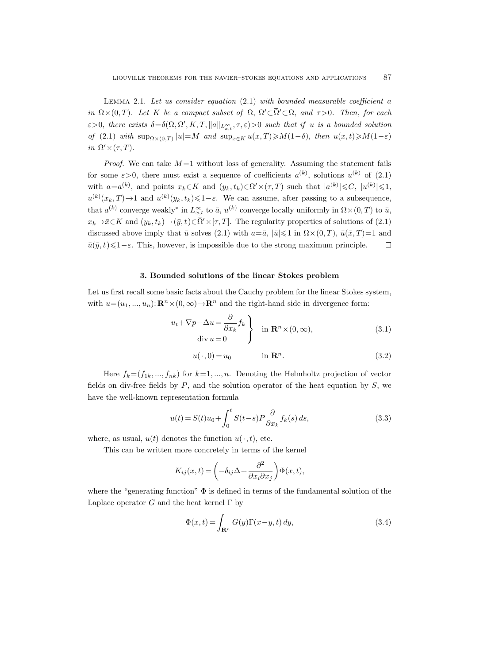LEMMA 2.1. Let us consider equation  $(2.1)$  with bounded measurable coefficient a LIOUVILLE THEOREMS FOR THE NAVIER-STOKES EQUATIONS AND APPLICATIONS 87<br>
LEMMA 2.1. Let us consider equation (2.1) with bounded measurable coefficient a<br>
in  $\Omega \times (0, T)$ . Let K be a compact subset of  $\Omega$ ,  $\Omega' \subset \overline{\Omega}' \subset \Omega$  $\varepsilon > 0$ , there exists  $\delta = \delta(\Omega, \Omega', K, T, ||a||_{L^{\infty}_{x,t}}, \tau, \varepsilon) > 0$  such that if u is a bounded solution of (2.1) with  $\sup_{\Omega\times(0,T)}|u|=M$  and  $\sup_{x\in K}u(x,T)\geqslant M(1-\delta),$  then  $u(x,t)\geqslant M(1-\varepsilon)$ in  $\Omega' \times (\tau, T)$ .

LEMMA 2.1. Let us consider equation (2.1) with bounded measurable coefficient a<br>
in  $\Omega \times (0,T)$ . Let K be a compact subset of  $\Omega$ ,  $\Omega' \subset \overline{\Omega}' \subset \Omega$ , and  $\tau > 0$ . Then, for each<br>  $\varepsilon > 0$ , there exists  $\delta = \delta(\Omega, \Omega', K, T, ||a||$ *Proof.* We can take  $M = 1$  without loss of generality. Assuming the statement fails for some  $\varepsilon > 0$ , there must exist a sequence of coefficients  $a^{(k)}$ , solutions  $u^{(k)}$  of  $(2.1)$ with  $a=a^{(k)}$ , and points  $x_k \in K$  and  $(y_k, t_k) \in \Omega' \times (\tau, T)$  such that  $|a^{(k)}| \leq C$ ,  $|u^{(k)}| \leq 1$ ,  $u^{(k)}(x_k, T) \to 1$  and  $u^{(k)}(y_k, t_k) \leq 1 - \varepsilon$ . We can assume, after passing to a subsequence, that  $a^{(k)}$  converge weakly<sup>\*</sup> in  $L_{x,t}^{\infty}$  to  $\bar{a}$ ,  $u^{(k)}$  converge locally uniformly in  $\Omega \times (0,T)$  to  $\bar{u}$ , discussed above imply that  $\bar{u}$  solves (2.1) with  $a=\bar{a}$ ,  $|\bar{u}|\leq 1$  in  $\Omega\times(0,T)$ ,  $\bar{u}(\bar{x},T)=1$  and  $\bar{u}(\bar{y},\bar{t})\leq 1-\varepsilon$ . This, however, is impossible due to the strong maximum principle.  $\Box$ 

## 3. Bounded solutions of the linear Stokes problem

Let us first recall some basic facts about the Cauchy problem for the linear Stokes system, with  $u=(u_1, ..., u_n): \mathbf{R}^n \times (0, \infty) \to \mathbf{R}^n$  and the right-hand side in divergence form:

$$
u_t + \nabla p - \Delta u = \frac{\partial}{\partial x_k} f_k
$$
  
div  $u = 0$  in  $\mathbb{R}^n \times (0, \infty)$ , (3.1)

$$
u(\cdot,0) = u_0 \qquad \text{in } \mathbb{R}^n. \tag{3.2}
$$

Here  $f_k = (f_{1k}, ..., f_{nk})$  for  $k=1, ..., n$ . Denoting the Helmholtz projection of vector fields on div-free fields by  $P$ , and the solution operator of the heat equation by  $S$ , we have the well-known representation formula

$$
u(t) = S(t)u_0 + \int_0^t S(t-s)P \frac{\partial}{\partial x_k} f_k(s) ds,
$$
\n(3.3)

where, as usual,  $u(t)$  denotes the function  $u(\cdot, t)$ , etc.

This can be written more concretely in terms of the kernel

$$
K_{ij}(x,t) = \left(-\delta_{ij}\Delta + \frac{\partial^2}{\partial x_i \partial x_j}\right)\Phi(x,t),
$$

where the "generating function"  $\Phi$  is defined in terms of the fundamental solution of the Laplace operator  $G$  and the heat kernel  $\Gamma$  by

$$
\Phi(x,t) = \int_{\mathbf{R}^n} G(y) \Gamma(x-y,t) \, dy,\tag{3.4}
$$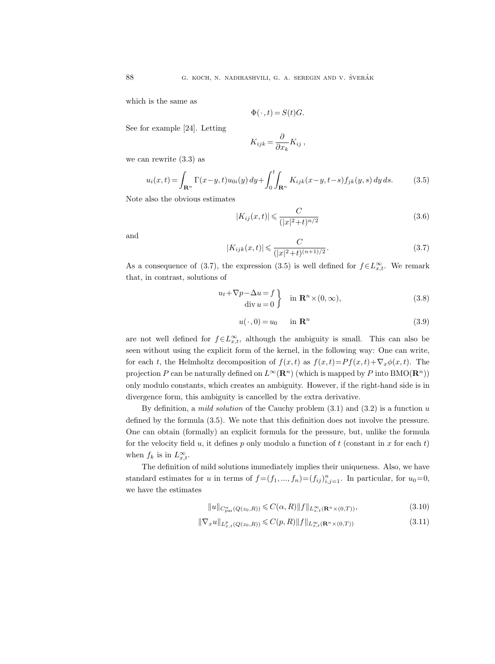which is the same as

$$
\Phi(\cdot, t) = S(t)G.
$$

See for example [24]. Letting

$$
K_{ijk} = \frac{\partial}{\partial x_k} K_{ij} \,,
$$

we can rewrite (3.3) as

$$
u_i(x,t) = \int_{\mathbf{R}^n} \Gamma(x-y,t) u_{0i}(y) \, dy + \int_0^t \int_{\mathbf{R}^n} K_{ijk}(x-y,t-s) f_{jk}(y,s) \, dy \, ds. \tag{3.5}
$$

Note also the obvious estimates

$$
|K_{ij}(x,t)| \leq \frac{C}{(|x|^2 + t)^{n/2}}
$$
\n(3.6)

and

$$
|K_{ijk}(x,t)| \leqslant \frac{C}{(|x|^2+t)^{(n+1)/2}}.\tag{3.7}
$$

As a consequence of (3.7), the expression (3.5) is well defined for  $f \in L^{\infty}_{x,t}$ . We remark that, in contrast, solutions of

$$
\begin{aligned}\n u_t + \nabla p - \Delta u &= f \\
 \text{div } u &= 0\n \end{aligned}\n \} \quad \text{in } \mathbf{R}^n \times (0, \infty),\n \tag{3.8}
$$

$$
u(\cdot,0) = u_0 \qquad \text{in } \mathbb{R}^n \tag{3.9}
$$

are not well defined for  $f \in L^{\infty}_{x,t}$ , although the ambiguity is small. This can also be seen without using the explicit form of the kernel, in the following way: One can write, for each t, the Helmholtz decomposition of  $f(x, t)$  as  $f(x, t)=P f(x, t)+\nabla_x \phi(x, t)$ . The projection P can be naturally defined on  $L^{\infty}(\mathbb{R}^n)$  (which is mapped by P into BMO( $\mathbb{R}^n$ )) only modulo constants, which creates an ambiguity. However, if the right-hand side is in divergence form, this ambiguity is cancelled by the extra derivative.

By definition, a *mild solution* of the Cauchy problem  $(3.1)$  and  $(3.2)$  is a function u defined by the formula (3.5). We note that this definition does not involve the pressure. One can obtain (formally) an explicit formula for the pressure, but, unlike the formula for the velocity field u, it defines p only modulo a function of t (constant in x for each t) when  $f_k$  is in  $L_{x,t}^{\infty}$ .

The definition of mild solutions immediately implies their uniqueness. Also, we have standard estimates for u in terms of  $f = (f_1, ..., f_n) = (f_{ij})_{i,j=1}^n$ . In particular, for  $u_0 = 0$ , we have the estimates

$$
||u||_{C^{\alpha}_{\text{par}}(Q(z_0, R))} \leqslant C(\alpha, R) ||f||_{L^{\infty}_{x,t}(\mathbf{R}^n \times (0, T))},
$$
\n(3.10)

$$
\|\nabla_x u\|_{L^p_{x,t}(Q(z_0,R))} \leqslant C(p,R) \|f\|_{L^\infty_{x,t}(\mathbf{R}^n \times (0,T))}
$$
\n(3.11)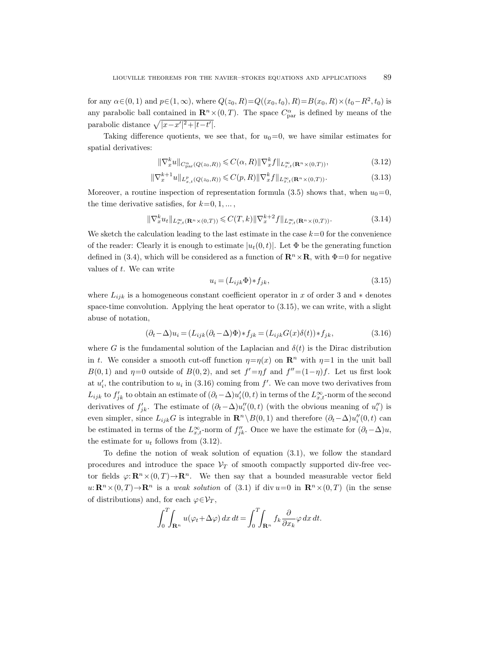for any  $\alpha \in (0, 1)$  and  $p \in (1, \infty)$ , where  $Q(z_0, R) = Q((x_0, t_0), R) = B(x_0, R) \times (t_0 - R^2, t_0)$  is any parabolic ball contained in  $\mathbf{R}^n \times (0,T)$ . The space  $C^{\alpha}_{\text{par}}$  is defined by means of the parabolic distance  $\sqrt{|x-x'|^2+|t-t'|}$ .

Taking difference quotients, we see that, for  $u_0=0$ , we have similar estimates for spatial derivatives:

$$
\|\nabla_x^k u\|_{C_{\text{par}}^{\alpha}(Q(z_0, R))} \leqslant C(\alpha, R) \|\nabla_x^k f\|_{L_{x,t}^{\infty}(\mathbf{R}^n \times (0, T))},\tag{3.12}
$$

$$
\|\nabla_x^{k+1} u\|_{L^p_{x,t}(Q(z_0,R))} \leqslant C(p,R) \|\nabla_x^k f\|_{L^\infty_{x,t}(\mathbf{R}^n \times (0,T))}.\tag{3.13}
$$

Moreover, a routine inspection of representation formula (3.5) shows that, when  $u_0=0$ , the time derivative satisfies, for  $k=0, 1, \ldots$ ,

$$
\|\nabla_x^k u_t\|_{L^{\infty}_{x,t}(\mathbf{R}^n \times (0,T))} \leqslant C(T,k) \|\nabla_x^{k+2} f\|_{L^{\infty}_{x,t}(\mathbf{R}^n \times (0,T))}.\tag{3.14}
$$

We sketch the calculation leading to the last estimate in the case  $k=0$  for the convenience of the reader: Clearly it is enough to estimate  $|u_t(0, t)|$ . Let  $\Phi$  be the generating function defined in (3.4), which will be considered as a function of  $\mathbb{R}^n \times \mathbb{R}$ , with  $\Phi = 0$  for negative values of t. We can write

$$
u_i = (L_{ijk}\Phi) * f_{jk},\tag{3.15}
$$

where  $L_{ijk}$  is a homogeneous constant coefficient operator in x of order 3 and  $*$  denotes space-time convolution. Applying the heat operator to  $(3.15)$ , we can write, with a slight abuse of notation,

$$
(\partial_t - \Delta)u_i = (L_{ijk}(\partial_t - \Delta)\Phi) * f_{jk} = (L_{ijk}G(x)\delta(t)) * f_{jk},
$$
\n(3.16)

where G is the fundamental solution of the Laplacian and  $\delta(t)$  is the Dirac distribution in t. We consider a smooth cut-off function  $\eta = \eta(x)$  on  $\mathbb{R}^n$  with  $\eta = 1$  in the unit ball  $B(0,1)$  and  $\eta=0$  outside of  $B(0,2)$ , and set  $f'=\eta f$  and  $f''=(1-\eta)f$ . Let us first look at  $u'_i$ , the contribution to  $u_i$  in (3.16) coming from  $f'$ . We can move two derivatives from  $L_{ijk}$  to  $f'_{jk}$  to obtain an estimate of  $(\partial_t - \Delta)u'_i(0, t)$  in terms of the  $L_{x,t}^{\infty}$ -norm of the second derivatives of  $f'_{jk}$ . The estimate of  $(\partial_t - \Delta)u''_i(0, t)$  (with the obvious meaning of  $u''_i$ ) is even simpler, since  $L_{ijk}G$  is integrable in  $\mathbf{R}^n \setminus B(0, 1)$  and therefore  $(\partial_t - \Delta)u''_i(0, t)$  can be estimated in terms of the  $L_{x,t}^{\infty}$ -norm of  $f''_{jk}$ . Once we have the estimate for  $(\partial_t - \Delta)u$ , the estimate for  $u_t$  follows from (3.12).

To define the notion of weak solution of equation (3.1), we follow the standard procedures and introduce the space  $V_T$  of smooth compactly supported div-free vector fields  $\varphi: \mathbf{R}^n \times (0,T) \to \mathbf{R}^n$ . We then say that a bounded measurable vector field  $u: \mathbb{R}^n \times (0,T) \to \mathbb{R}^n$  is a weak solution of (3.1) if div  $u=0$  in  $\mathbb{R}^n \times (0,T)$  (in the sense of distributions) and, for each  $\varphi \in \mathcal{V}_T$ ,

$$
\int_0^T \int_{\mathbf{R}^n} u(\varphi_t + \Delta \varphi) \, dx \, dt = \int_0^T \int_{\mathbf{R}^n} f_k \frac{\partial}{\partial x_k} \varphi \, dx \, dt.
$$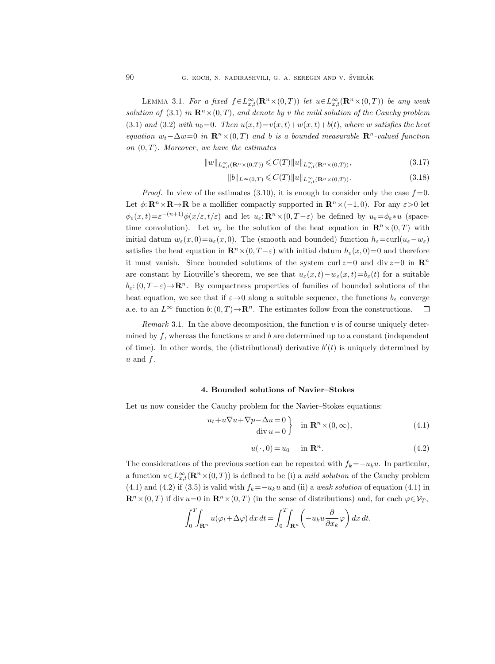LEMMA 3.1. For a fixed  $f \in L^{\infty}_{x,t}(\mathbf{R}^n \times (0,T))$  let  $u \in L^{\infty}_{x,t}(\mathbf{R}^n \times (0,T))$  be any weak solution of (3.1) in  $\mathbf{R}^n \times (0,T)$ , and denote by v the mild solution of the Cauchy problem (3.1) and (3.2) with  $u_0=0$ . Then  $u(x,t)=v(x,t)+w(x,t)+b(t)$ , where w satisfies the heat equation  $w_t-\Delta w=0$  in  $\mathbb{R}^n\times(0,T)$  and b is a bounded measurable  $\mathbb{R}^n$ -valued function on  $(0, T)$ . Moreover, we have the estimates

$$
||w||_{L^{\infty}_{x,t}(\mathbf{R}^n \times (0,T))} \leqslant C(T)||u||_{L^{\infty}_{x,t}(\mathbf{R}^n \times (0,T))},
$$
\n(3.17)

$$
||b||_{L^{\infty}(0,T)} \leqslant C(T)||u||_{L^{\infty}_{x,t}(\mathbf{R}^n \times (0,T))}.
$$
\n(3.18)

*Proof.* In view of the estimates (3.10), it is enough to consider only the case  $f = 0$ . Let  $\phi: \mathbb{R}^n \times \mathbb{R} \to \mathbb{R}$  be a mollifier compactly supported in  $\mathbb{R}^n \times (-1, 0)$ . For any  $\varepsilon > 0$  let  $\phi_{\varepsilon}(x,t)=\varepsilon^{-(n+1)}\phi(x/\varepsilon,t/\varepsilon)$  and let  $u_{\varepsilon}:\mathbf{R}^n\times(0,T-\varepsilon)$  be defined by  $u_{\varepsilon}=\phi_{\varepsilon}*u$  (spacetime convolution). Let  $w_{\varepsilon}$  be the solution of the heat equation in  $\mathbb{R}^n \times (0,T)$  with initial datum  $w_{\varepsilon}(x, 0) = u_{\varepsilon}(x, 0)$ . The (smooth and bounded) function  $h_{\varepsilon} = \text{curl}(u_{\varepsilon} - w_{\varepsilon})$ satisfies the heat equation in  $\mathbb{R}^n \times (0, T - \varepsilon)$  with initial datum  $h_{\varepsilon}(x, 0) = 0$  and therefore it must vanish. Since bounded solutions of the system curl  $z=0$  and div  $z=0$  in  $\mathbb{R}^n$ are constant by Liouville's theorem, we see that  $u_{\varepsilon}(x,t)-w_{\varepsilon}(x,t)=b_{\varepsilon}(t)$  for a suitable  $b_{\varepsilon}: (0, T-\varepsilon) \to \mathbb{R}^n$ . By compactness properties of families of bounded solutions of the heat equation, we see that if  $\varepsilon \rightarrow 0$  along a suitable sequence, the functions  $b_{\varepsilon}$  converge a.e. to an  $L^{\infty}$  function b:  $(0, T) \rightarrow \mathbb{R}^{n}$ . The estimates follow from the constructions.  $\Box$ 

*Remark* 3.1. In the above decomposition, the function  $v$  is of course uniquely determined by  $f$ , whereas the functions  $w$  and  $b$  are determined up to a constant (independent of time). In other words, the (distributional) derivative  $b'(t)$  is uniquely determined by  $u$  and  $f$ .

## 4. Bounded solutions of Navier–Stokes

Let us now consider the Cauchy problem for the Navier–Stokes equations:

$$
u_t + u\nabla u + \nabla p - \Delta u = 0
$$
  
div  $u = 0$  in  $\mathbb{R}^n \times (0, \infty)$ , (4.1)

$$
u(\cdot,0) = u_0 \quad \text{in } \mathbf{R}^n. \tag{4.2}
$$

The considerations of the previous section can be repeated with  $f_k = -u_k u$ . In particular, a function  $u \in L^{\infty}_{x,t}(\mathbf{R}^n \times (0,T))$  is defined to be (i) a *mild solution* of the Cauchy problem (4.1) and (4.2) if (3.5) is valid with  $f_k = -u_k u$  and (ii) a weak solution of equation (4.1) in  $\mathbf{R}^n\times(0,T)$  if div  $u=0$  in  $\mathbf{R}^n\times(0,T)$  (in the sense of distributions) and, for each  $\varphi\in\mathcal{V}_T$ ,

$$
\int_0^T \int_{\mathbf{R}^n} u(\varphi_t + \Delta \varphi) \, dx \, dt = \int_0^T \int_{\mathbf{R}^n} \left( -u_k u \frac{\partial}{\partial x_k} \varphi \right) dx \, dt.
$$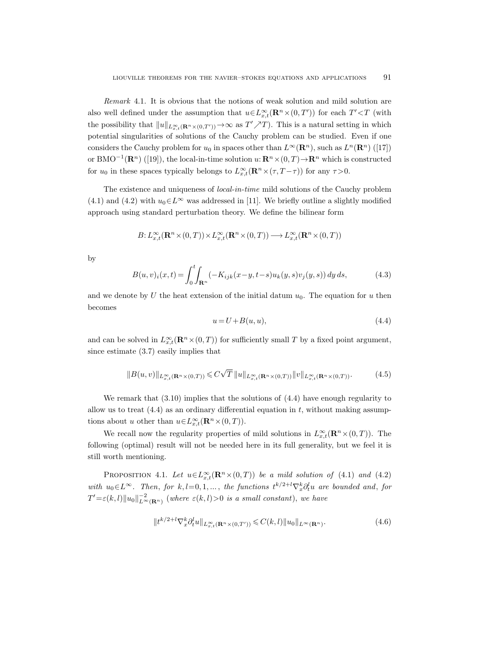Remark 4.1. It is obvious that the notions of weak solution and mild solution are also well defined under the assumption that  $u \in L^{\infty}_{x,t}(\mathbf{R}^n \times (0,T'))$  for each  $T' \leq T$  (with the possibility that  $||u||_{L^{\infty}_{x,t}(\mathbf{R}^n\times(0,T'))}\to\infty$  as  $T'\nearrow T$ ). This is a natural setting in which potential singularities of solutions of the Cauchy problem can be studied. Even if one considers the Cauchy problem for  $u_0$  in spaces other than  $L^{\infty}(\mathbf{R}^n)$ , such as  $L^n(\mathbf{R}^n)$  ([17]) or BMO<sup>-1</sup>( $\mathbb{R}^n$ ) ([19]), the local-in-time solution  $u: \mathbb{R}^n \times (0,T) \to \mathbb{R}^n$  which is constructed for  $u_0$  in these spaces typically belongs to  $L_{x,t}^{\infty}(\mathbf{R}^n \times (\tau, T-\tau))$  for any  $\tau > 0$ .

The existence and uniqueness of local-in-time mild solutions of the Cauchy problem (4.1) and (4.2) with  $u_0 \in L^{\infty}$  was addressed in [11]. We briefly outline a slightly modified approach using standard perturbation theory. We define the bilinear form

$$
B\colon L^\infty_{x,t}(\mathbf{R}^n\times (0,T))\times L^\infty_{x,t}(\mathbf{R}^n\times (0,T))\longrightarrow L^\infty_{x,t}(\mathbf{R}^n\times (0,T))
$$

by

$$
B(u, v)_i(x, t) = \int_0^t \int_{\mathbf{R}^n} (-K_{ijk}(x - y, t - s)u_k(y, s)v_j(y, s)) dy ds,
$$
 (4.3)

and we denote by U the heat extension of the initial datum  $u_0$ . The equation for u then becomes

$$
u = U + B(u, u), \tag{4.4}
$$

and can be solved in  $L_{x,t}^{\infty}(\mathbf{R}^n\times(0,T))$  for sufficiently small T by a fixed point argument, since estimate (3.7) easily implies that

$$
||B(u,v)||_{L^{\infty}_{x,t}(\mathbf{R}^n\times(0,T))} \leqslant C\sqrt{T} ||u||_{L^{\infty}_{x,t}(\mathbf{R}^n\times(0,T))} ||v||_{L^{\infty}_{x,t}(\mathbf{R}^n\times(0,T))}.
$$
 (4.5)

We remark that  $(3.10)$  implies that the solutions of  $(4.4)$  have enough regularity to allow us to treat  $(4.4)$  as an ordinary differential equation in t, without making assumptions about u other than  $u \in L^{\infty}_{x,t}(\mathbf{R}^n \times (0,T)).$ 

We recall now the regularity properties of mild solutions in  $L_{x,t}^{\infty}(\mathbf{R}^n\times(0,T))$ . The following (optimal) result will not be needed here in its full generality, but we feel it is still worth mentioning.

PROPOSITION 4.1. Let  $u \in L^{\infty}_{x,t}(\mathbf{R}^n \times (0,T))$  be a mild solution of (4.1) and (4.2) with  $u_0 \in L^{\infty}$ . Then, for  $k, l = 0, 1, ...,$  the functions  $t^{k/2+l} \nabla_x^k \partial_t^l u$  are bounded and, for  $T' = \varepsilon(k, l) ||u_0||_{L^{\infty}(\mathbf{R}^n)}^{-2}$  (where  $\varepsilon(k, l) > 0$  is a small constant), we have

$$
||t^{k/2+l} \nabla_x^k \partial_t^l u||_{L^{\infty}_{x,t}(\mathbf{R}^n \times (0,T'))} \leqslant C(k,l) ||u_0||_{L^{\infty}(\mathbf{R}^n)}.
$$
\n(4.6)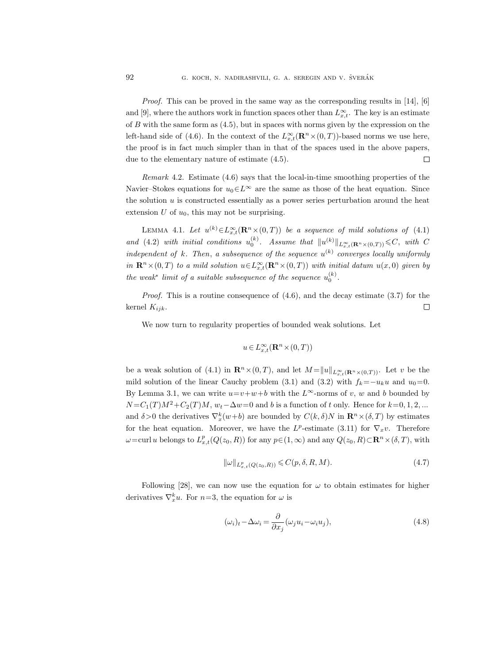*Proof.* This can be proved in the same way as the corresponding results in [14], [6] and [9], where the authors work in function spaces other than  $L_{x,t}^{\infty}$ . The key is an estimate of  $B$  with the same form as  $(4.5)$ , but in spaces with norms given by the expression on the left-hand side of (4.6). In the context of the  $L_{x,t}^{\infty}(\mathbf{R}^n\times(0,T))$ -based norms we use here, the proof is in fact much simpler than in that of the spaces used in the above papers, due to the elementary nature of estimate (4.5).  $\Box$ 

Remark 4.2. Estimate (4.6) says that the local-in-time smoothing properties of the Navier–Stokes equations for  $u_0 \in L^\infty$  are the same as those of the heat equation. Since the solution  $u$  is constructed essentially as a power series perturbation around the heat extension  $U$  of  $u_0$ , this may not be surprising.

LEMMA 4.1. Let  $u^{(k)} \in L^{\infty}_{x,t}(\mathbf{R}^n \times (0,T))$  be a sequence of mild solutions of (4.1) and (4.2) with initial conditions  $u_0^{(k)}$ . Assume that  $||u^{(k)}||_{L^{\infty}_{x,t}(\mathbf{R}^n\times(0,T))} \leq C$ , with C independent of k. Then, a subsequence of the sequence  $u^{(k)}$  converges locally uniformly in  $\mathbf{R}^n \times (0,T)$  to a mild solution  $u \in L^\infty_{x,t}(\mathbf{R}^n \times (0,T))$  with initial datum  $u(x,0)$  given by the weak<sup>\*</sup> limit of a suitable subsequence of the sequence  $u_0^{(k)}$ .

Proof. This is a routine consequence of  $(4.6)$ , and the decay estimate  $(3.7)$  for the kernel  $K_{ijk}$ .  $\Box$ 

We now turn to regularity properties of bounded weak solutions. Let

$$
u\,{\in}\, L^\infty_{x,t}(\mathbf{R}^n\,{\times}\,(0,T))
$$

be a weak solution of (4.1) in  $\mathbb{R}^n\times(0,T)$ , and let  $M=\|u\|_{L^{\infty}_{\infty}(\mathbb{R}^n\times(0,T))}$ . Let v be the mild solution of the linear Cauchy problem (3.1) and (3.2) with  $f_k=-u_ku$  and  $u_0=0$ . By Lemma 3.1, we can write  $u=v+w+b$  with the  $L^{\infty}$ -norms of v, w and b bounded by  $N = C_1(T)M^2 + C_2(T)M$ ,  $w_t - \Delta w = 0$  and b is a function of t only. Hence for  $k = 0, 1, 2, ...$ and  $\delta > 0$  the derivatives  $\nabla_x^k(w+b)$  are bounded by  $C(k,\delta)N$  in  $\mathbb{R}^n \times (\delta,T)$  by estimates for the heat equation. Moreover, we have the  $L^p$ -estimate (3.11) for  $\nabla_x v$ . Therefore  $\omega = \text{curl } u$  belongs to  $L_{x,t}^p(Q(z_0, R))$  for any  $p \in (1, \infty)$  and any  $Q(z_0, R) \subset \mathbb{R}^n \times (\delta, T)$ , with

$$
\|\omega\|_{L^p_{x,t}(Q(z_0,R))} \leqslant C(p,\delta,R,M). \tag{4.7}
$$

Following [28], we can now use the equation for  $\omega$  to obtain estimates for higher derivatives  $\nabla_x^k u$ . For  $n=3$ , the equation for  $\omega$  is

$$
(\omega_i)_t - \Delta \omega_i = \frac{\partial}{\partial x_j} (\omega_j u_i - \omega_i u_j), \qquad (4.8)
$$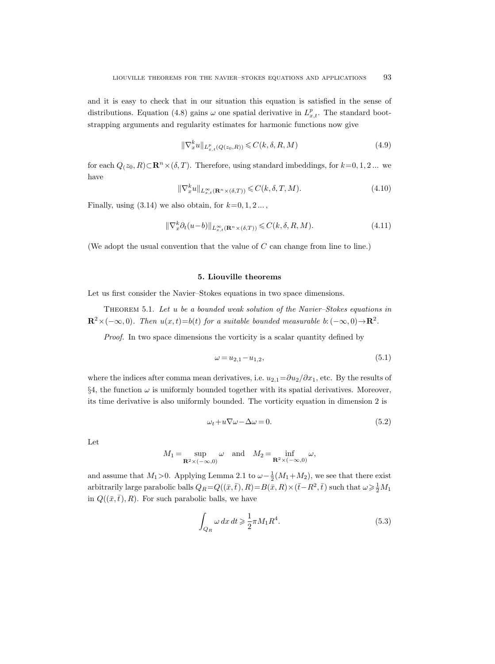and it is easy to check that in our situation this equation is satisfied in the sense of distributions. Equation (4.8) gains  $\omega$  one spatial derivative in  $L^p_{x,t}$ . The standard bootstrapping arguments and regularity estimates for harmonic functions now give

$$
\|\nabla_x^k u\|_{L^p_{x,t}(Q(z_0,R))} \leqslant C(k,\delta,R,M)
$$
\n(4.9)

for each  $Q(z_0, R) \subset \mathbf{R}^n \times (\delta, T)$ . Therefore, using standard imbeddings, for  $k=0, 1, 2, ...$  we have

$$
\|\nabla_x^k u\|_{L^{\infty}_{x,t}(\mathbf{R}^n \times (\delta,T))} \leqslant C(k,\delta,T,M). \tag{4.10}
$$

Finally, using  $(3.14)$  we also obtain, for  $k=0, 1, 2...$ ,

$$
\|\nabla_x^k \partial_t (u - b)\|_{L^\infty_{x,t}(\mathbf{R}^n \times (\delta, T))} \leqslant C(k, \delta, R, M). \tag{4.11}
$$

(We adopt the usual convention that the value of  $C$  can change from line to line.)

## 5. Liouville theorems

Let us first consider the Navier–Stokes equations in two space dimensions.

Theorem 5.1. Let u be a bounded weak solution of the Navier–Stokes equations in  $\mathbf{R}^2 \times (-\infty,0)$ . Then  $u(x,t) = b(t)$  for a suitable bounded measurable b:  $(-\infty,0) \rightarrow \mathbf{R}^2$ .

Proof. In two space dimensions the vorticity is a scalar quantity defined by

$$
\omega = u_{2,1} - u_{1,2},\tag{5.1}
$$

where the indices after comma mean derivatives, i.e.  $u_{2,1}=\partial u_2/\partial x_1$ , etc. By the results of  $\S4$ , the function  $\omega$  is uniformly bounded together with its spatial derivatives. Moreover, its time derivative is also uniformly bounded. The vorticity equation in dimension 2 is

$$
\omega_t + u \nabla \omega - \Delta \omega = 0. \tag{5.2}
$$

Let

$$
M_1 = \sup_{\mathbf{R}^2 \times (-\infty, 0)} \omega \quad \text{and} \quad M_2 = \inf_{\mathbf{R}^2 \times (-\infty, 0)} \omega,
$$

and assume that  $M_1 > 0$ . Applying Lemma 2.1 to  $\omega - \frac{1}{2}(M_1 + M_2)$ , we see that there exist arbitrarily large parabolic balls  $Q_R = Q((\bar{x}, \bar{t}), R) = B(\bar{x}, R) \times (\bar{t} - R^2, \bar{t})$  such that  $\omega \geq \frac{1}{2}M_1$ in  $Q((\bar{x},\bar{t}), R)$ . For such parabolic balls, we have

$$
\int_{Q_R} \omega \, dx \, dt \geqslant \frac{1}{2} \pi M_1 R^4. \tag{5.3}
$$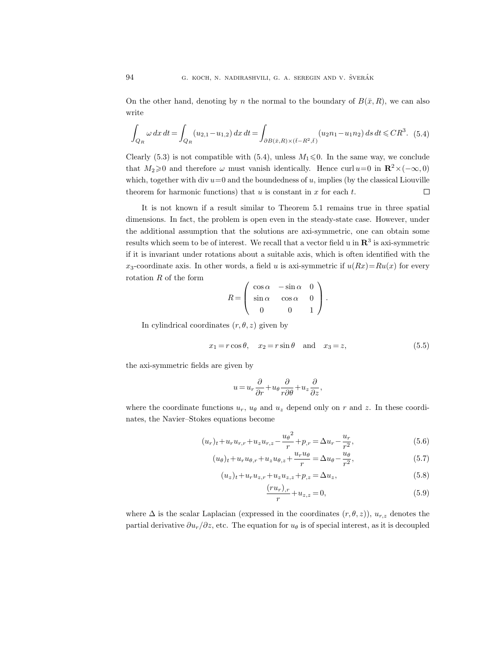On the other hand, denoting by n the normal to the boundary of  $B(\bar{x}, R)$ , we can also write

$$
\int_{Q_R} \omega \, dx \, dt = \int_{Q_R} (u_{2,1} - u_{1,2}) \, dx \, dt = \int_{\partial B(\bar{x},R) \times (\bar{t} - R^2, \bar{t})} (u_2 n_1 - u_1 n_2) \, ds \, dt \leq C R^3. \tag{5.4}
$$

Clearly (5.3) is not compatible with (5.4), unless  $M_1 \leq 0$ . In the same way, we conclude that  $M_2 \geq 0$  and therefore  $\omega$  must vanish identically. Hence curl u=0 in  $\mathbb{R}^2 \times (-\infty, 0)$ which, together with div  $u=0$  and the boundedness of u, implies (by the classical Liouville theorem for harmonic functions) that  $u$  is constant in  $x$  for each  $t$ .  $\Box$ 

It is not known if a result similar to Theorem 5.1 remains true in three spatial dimensions. In fact, the problem is open even in the steady-state case. However, under the additional assumption that the solutions are axi-symmetric, one can obtain some results which seem to be of interest. We recall that a vector field u in  $\mathbf{R}^3$  is axi-symmetric if it is invariant under rotations about a suitable axis, which is often identified with the  $x_3$ -coordinate axis. In other words, a field u is axi-symmetric if  $u(Rx)=Ru(x)$  for every rotation R of the form

$$
R = \begin{pmatrix} \cos \alpha & -\sin \alpha & 0 \\ \sin \alpha & \cos \alpha & 0 \\ 0 & 0 & 1 \end{pmatrix}.
$$

In cylindrical coordinates  $(r, \theta, z)$  given by

$$
x_1 = r\cos\theta, \quad x_2 = r\sin\theta \quad \text{and} \quad x_3 = z,\tag{5.5}
$$

the axi-symmetric fields are given by

$$
u\,{=}\,u_r\frac{\partial}{\partial r}\,{+}\,u_\theta\frac{\partial}{r\partial\theta}\,{+}\,u_z\frac{\partial}{\partial z},
$$

where the coordinate functions  $u_r$ ,  $u_\theta$  and  $u_z$  depend only on r and z. In these coordinates, the Navier–Stokes equations become

$$
(u_r)_t + u_r u_{r,r} + u_z u_{r,z} - \frac{u_\theta^2}{r} + p_{,r} = \Delta u_r - \frac{u_r}{r^2},
$$
\n(5.6)

$$
(u_{\theta})_t + u_r u_{\theta,r} + u_z u_{\theta,z} + \frac{u_r u_{\theta}}{r} = \Delta u_{\theta} - \frac{u_{\theta}}{r^2},
$$
\n
$$
(5.7)
$$

$$
(u_z)_t + u_r u_{z,r} + u_z u_{z,z} + p_{,z} = \Delta u_z, \tag{5.8}
$$

$$
\frac{(ru_r)_{,r}}{r} + u_{z,z} = 0,\t\t(5.9)
$$

where  $\Delta$  is the scalar Laplacian (expressed in the coordinates  $(r, \theta, z)$ ),  $u_{r,z}$  denotes the partial derivative  $\partial u_r/\partial z$ , etc. The equation for  $u_\theta$  is of special interest, as it is decoupled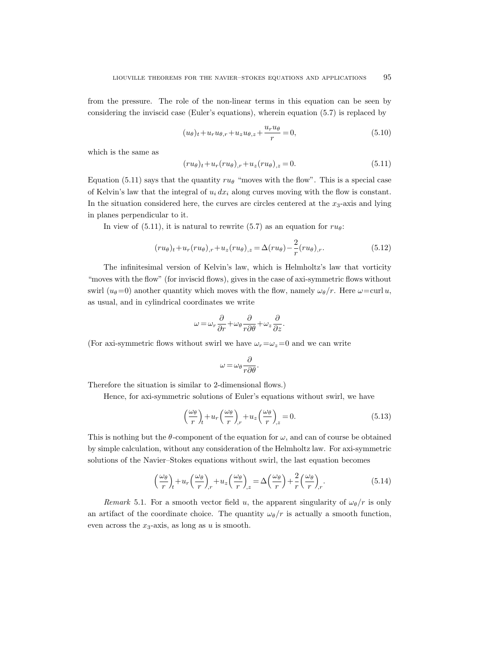from the pressure. The role of the non-linear terms in this equation can be seen by considering the inviscid case (Euler's equations), wherein equation (5.7) is replaced by

$$
(u_{\theta})_t + u_r u_{\theta,r} + u_z u_{\theta,z} + \frac{u_r u_{\theta}}{r} = 0,
$$
\n(5.10)

which is the same as

$$
(ru_{\theta})_t + u_r (ru_{\theta})_{,r} + u_z (ru_{\theta})_{,z} = 0.
$$
\n(5.11)

Equation (5.11) says that the quantity  $ru_{\theta}$  "moves with the flow". This is a special case of Kelvin's law that the integral of  $u_i dx_i$  along curves moving with the flow is constant. In the situation considered here, the curves are circles centered at the  $x_3$ -axis and lying in planes perpendicular to it.

In view of (5.11), it is natural to rewrite (5.7) as an equation for  $ru_{\theta}$ :

$$
(ru_{\theta})_t + u_r(ru_{\theta})_{,r} + u_z(ru_{\theta})_{,z} = \Delta(ru_{\theta}) - \frac{2}{r}(ru_{\theta})_{,r}.
$$
\n
$$
(5.12)
$$

The infinitesimal version of Kelvin's law, which is Helmholtz's law that vorticity "moves with the flow" (for inviscid flows), gives in the case of axi-symmetric flows without swirl ( $u_{\theta}=0$ ) another quantity which moves with the flow, namely  $\omega_{\theta}/r$ . Here  $\omega = \text{curl } u$ , as usual, and in cylindrical coordinates we write

$$
\omega = \omega_r \frac{\partial}{\partial r} + \omega_\theta \frac{\partial}{r \partial \theta} + \omega_z \frac{\partial}{\partial z}.
$$

(For axi-symmetric flows without swirl we have  $\omega_r = \omega_z = 0$  and we can write

$$
\omega = \omega_\theta \frac{\partial}{r\partial\theta}.
$$

Therefore the situation is similar to 2-dimensional flows.)

Hence, for axi-symmetric solutions of Euler's equations without swirl, we have

$$
\left(\frac{\omega_{\theta}}{r}\right)_{t} + u_{r} \left(\frac{\omega_{\theta}}{r}\right)_{r} + u_{z} \left(\frac{\omega_{\theta}}{r}\right)_{z} = 0.
$$
\n(5.13)

This is nothing but the  $\theta$ -component of the equation for  $\omega$ , and can of course be obtained by simple calculation, without any consideration of the Helmholtz law. For axi-symmetric solutions of the Navier–Stokes equations without swirl, the last equation becomes

$$
\left(\frac{\omega_{\theta}}{r}\right)_{t} + u_{r} \left(\frac{\omega_{\theta}}{r}\right)_{r} + u_{z} \left(\frac{\omega_{\theta}}{r}\right)_{z} = \Delta \left(\frac{\omega_{\theta}}{r}\right) + \frac{2}{r} \left(\frac{\omega_{\theta}}{r}\right)_{r}.
$$
\n(5.14)

Remark 5.1. For a smooth vector field u, the apparent singularity of  $\omega_{\theta}/r$  is only an artifact of the coordinate choice. The quantity  $\omega_{\theta}/r$  is actually a smooth function, even across the  $x_3$ -axis, as long as  $u$  is smooth.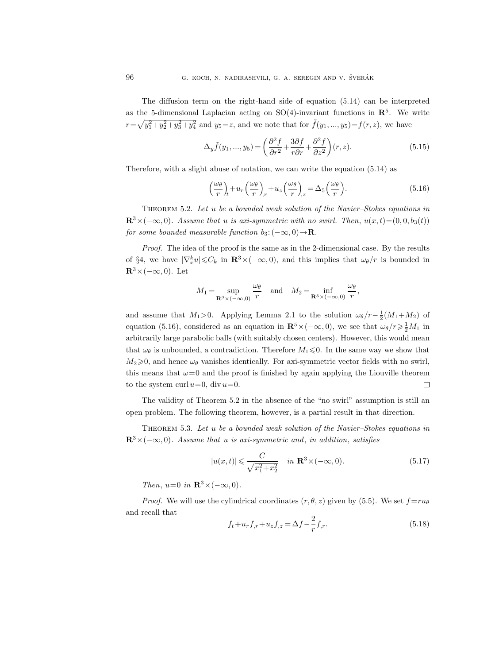The diffusion term on the right-hand side of equation (5.14) can be interpreted as the 5-dimensional Laplacian acting on  $SO(4)$ -invariant functions in  $\mathbb{R}^5$ . We write  $r = \sqrt{y_1^2 + y_2^2 + y_3^2 + y_4^2}$  and  $y_5 = z$ , and we note that for  $\tilde{f}(y_1, ..., y_5) = f(r, z)$ , we have

$$
\Delta_y \tilde{f}(y_1, ..., y_5) = \left(\frac{\partial^2 f}{\partial r^2} + \frac{3\partial f}{r\partial r} + \frac{\partial^2 f}{\partial z^2}\right)(r, z). \tag{5.15}
$$

Therefore, with a slight abuse of notation, we can write the equation (5.14) as

$$
\left(\frac{\omega_{\theta}}{r}\right)_{t} + u_{r} \left(\frac{\omega_{\theta}}{r}\right)_{,r} + u_{z} \left(\frac{\omega_{\theta}}{r}\right)_{,z} = \Delta_{5} \left(\frac{\omega_{\theta}}{r}\right). \tag{5.16}
$$

THEOREM 5.2. Let u be a bounded weak solution of the Navier–Stokes equations in  $\mathbb{R}^3\times(-\infty,0)$ . Assume that u is axi-symmetric with no swirl. Then,  $u(x,t)=(0,0, b_3(t))$ for some bounded measurable function  $b_3: (-\infty, 0) \rightarrow \mathbb{R}$ .

Proof. The idea of the proof is the same as in the 2-dimensional case. By the results of §4, we have  $|\nabla_x^k u| \leqslant C_k$  in  $\mathbb{R}^3 \times (-\infty, 0)$ , and this implies that  $\omega_\theta/r$  is bounded in  $\mathbb{R}^3\times(-\infty,0)$ . Let

$$
M_1 = \sup_{\mathbf{R}^3 \times (-\infty,0)} \frac{\omega_\theta}{r}
$$
 and 
$$
M_2 = \inf_{\mathbf{R}^3 \times (-\infty,0)} \frac{\omega_\theta}{r},
$$

and assume that  $M_1 > 0$ . Applying Lemma 2.1 to the solution  $\omega_{\theta}/r - \frac{1}{2}(M_1 + M_2)$  of equation (5.16), considered as an equation in  $\mathbb{R}^5 \times (-\infty, 0)$ , we see that  $\omega_\theta / r \geq \frac{1}{2} M_1$  in arbitrarily large parabolic balls (with suitably chosen centers). However, this would mean that  $\omega_{\theta}$  is unbounded, a contradiction. Therefore  $M_1 \leq 0$ . In the same way we show that  $M_2 \geq 0$ , and hence  $\omega_\theta$  vanishes identically. For axi-symmetric vector fields with no swirl, this means that  $\omega=0$  and the proof is finished by again applying the Liouville theorem to the system curl  $u=0$ , div  $u=0$ .  $\Box$ 

The validity of Theorem 5.2 in the absence of the "no swirl" assumption is still an open problem. The following theorem, however, is a partial result in that direction.

THEOREM 5.3. Let u be a bounded weak solution of the Navier–Stokes equations in  $\mathbb{R}^3\times(-\infty,0)$ . Assume that u is axi-symmetric and, in addition, satisfies

$$
|u(x,t)| \leq \frac{C}{\sqrt{x_1^2 + x_2^2}} \quad \text{in } \mathbf{R}^3 \times (-\infty, 0). \tag{5.17}
$$

Then,  $u=0$  in  $\mathbb{R}^3 \times (-\infty, 0)$ .

*Proof.* We will use the cylindrical coordinates  $(r, \theta, z)$  given by (5.5). We set  $f = ru_{\theta}$ and recall that

$$
f_t + u_r f_{,r} + u_z f_{,z} = \Delta f - \frac{2}{r} f_{,r}.
$$
\n(5.18)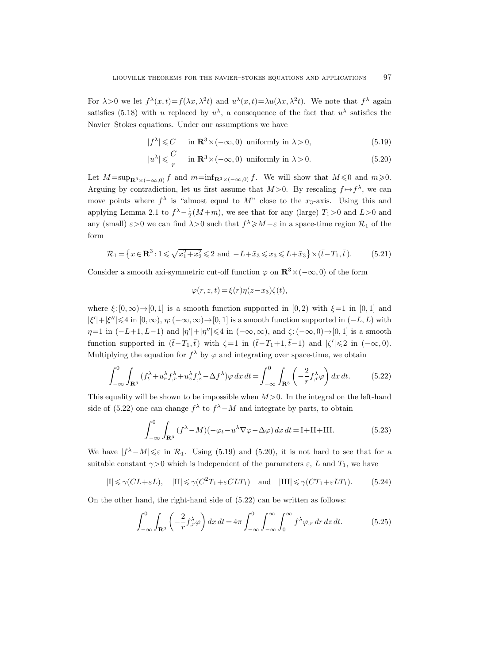For  $\lambda > 0$  we let  $f^{\lambda}(x,t) = f(\lambda x, \lambda^2 t)$  and  $u^{\lambda}(x,t) = \lambda u(\lambda x, \lambda^2 t)$ . We note that  $f^{\lambda}$  again satisfies (5.18) with u replaced by  $u^{\lambda}$ , a consequence of the fact that  $u^{\lambda}$  satisfies the Navier–Stokes equations. Under our assumptions we have

$$
|f^{\lambda}| \leqslant C \quad \text{in } \mathbf{R}^{3} \times (-\infty, 0) \text{ uniformly in } \lambda > 0,
$$
 (5.19)

$$
|u^{\lambda}| \leqslant \frac{C}{r} \quad \text{ in } \mathbf{R}^3 \times (-\infty, 0) \text{ uniformly in } \lambda > 0. \tag{5.20}
$$

Let  $M = \sup_{\mathbf{R}^3 \times (-\infty,0)} f$  and  $m = \inf_{\mathbf{R}^3 \times (-\infty,0)} f$ . We will show that  $M \leq 0$  and  $m \geq 0$ . Arguing by contradiction, let us first assume that  $M > 0$ . By rescaling  $f \mapsto f^{\lambda}$ , we can move points where  $f^{\lambda}$  is "almost equal to M" close to the  $x_3$ -axis. Using this and applying Lemma 2.1 to  $f^{\lambda} - \frac{1}{2}(M+m)$ , we see that for any (large)  $T_1 > 0$  and  $L > 0$  and any (small)  $\varepsilon > 0$  we can find  $\lambda > 0$  such that  $f^{\lambda} \geq M - \varepsilon$  in a space-time region  $\mathcal{R}_1$  of the form

$$
\mathcal{R}_1 = \left\{ x \in \mathbf{R}^3 : 1 \le \sqrt{x_1^2 + x_2^2} \le 2 \text{ and } -L + \bar{x}_3 \le x_3 \le L + \bar{x}_3 \right\} \times (\bar{t} - T_1, \bar{t}).\tag{5.21}
$$

Consider a smooth axi-symmetric cut-off function  $\varphi$  on  $\mathbb{R}^3 \times (-\infty, 0)$  of the form

$$
\varphi(r, z, t) = \xi(r)\eta(z - \bar{x}_3)\zeta(t),
$$

where  $\xi:[0,\infty)\to[0,1]$  is a smooth function supported in [0, 2) with  $\xi=1$  in [0, 1] and  $|\xi'| + |\xi''| \leq 4$  in  $[0, \infty)$ ,  $\eta: (-\infty, \infty) \to [0, 1]$  is a smooth function supported in  $(-L, L)$  with  $\eta=1$  in  $(-L+1, L-1)$  and  $|\eta'|+|\eta''|\leq 4$  in  $(-\infty, \infty)$ , and  $\zeta: (-\infty, 0) \to [0, 1]$  is a smooth function supported in  $(\bar{t}-T_1,\bar{t})$  with  $\zeta=1$  in  $(\bar{t}-T_1+1,\bar{t}-1)$  and  $|\zeta'|\leq 2$  in  $(-\infty,0)$ . Multiplying the equation for  $f^{\lambda}$  by  $\varphi$  and integrating over space-time, we obtain

$$
\int_{-\infty}^{0} \int_{\mathbf{R}^3} (f_t^{\lambda} + u_r^{\lambda} f_{,r}^{\lambda} + u_z^{\lambda} f_{,z}^{\lambda} - \Delta f^{\lambda}) \varphi \, dx \, dt = \int_{-\infty}^{0} \int_{\mathbf{R}^3} \left( -\frac{2}{r} f_{,r}^{\lambda} \varphi \right) dx \, dt. \tag{5.22}
$$

This equality will be shown to be impossible when  $M > 0$ . In the integral on the left-hand side of (5.22) one can change  $f^{\lambda}$  to  $f^{\lambda}-M$  and integrate by parts, to obtain

$$
\int_{-\infty}^{0} \int_{\mathbf{R}^{3}} (f^{\lambda} - M)(-\varphi_{t} - u^{\lambda} \nabla \varphi - \Delta \varphi) dx dt = \mathbf{I} + \mathbf{II} + \mathbf{III}.
$$
 (5.23)

We have  $|f^{\lambda}-M|\leqslant \varepsilon$  in  $\mathcal{R}_1$ . Using (5.19) and (5.20), it is not hard to see that for a suitable constant  $\gamma > 0$  which is independent of the parameters  $\varepsilon$ , L and  $T_1$ , we have

 $|I| \le \gamma (CL + \varepsilon L)$ ,  $|II| \le \gamma (C^2 T_1 + \varepsilon CLT_1)$  and  $|III| \le \gamma (CT_1 + \varepsilon LT_1)$ . (5.24)

On the other hand, the right-hand side of (5.22) can be written as follows:

$$
\int_{-\infty}^{0} \int_{\mathbf{R}^3} \left( -\frac{2}{r} f^{\lambda}_{,r} \varphi \right) dx dt = 4\pi \int_{-\infty}^{0} \int_{-\infty}^{\infty} \int_{0}^{\infty} f^{\lambda} \varphi_{,r} dr dz dt.
$$
 (5.25)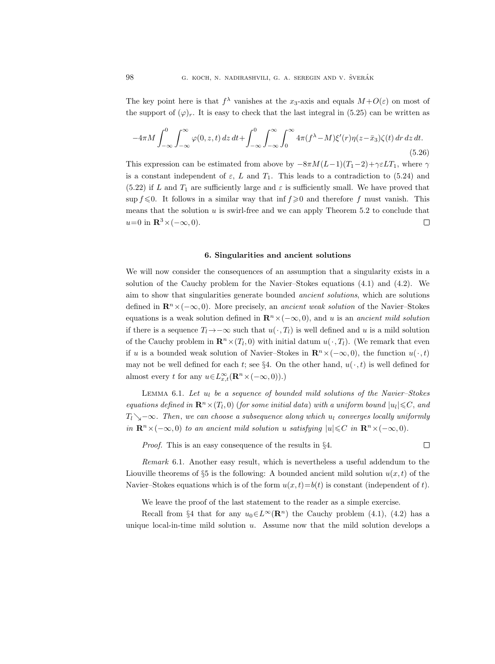The key point here is that  $f^{\lambda}$  vanishes at the  $x_3$ -axis and equals  $M+O(\varepsilon)$  on most of the support of  $(\varphi)_r$ . It is easy to check that the last integral in (5.25) can be written as

$$
-4\pi M \int_{-\infty}^{0} \int_{-\infty}^{\infty} \varphi(0, z, t) dz dt + \int_{-\infty}^{0} \int_{-\infty}^{\infty} \int_{0}^{\infty} 4\pi (f^{\lambda} - M) \xi'(r) \eta(z - \bar{x}_3) \zeta(t) dr dz dt.
$$
\n(5.26)

This expression can be estimated from above by  $-8\pi M(L-1)(T_1-2)+\gamma \epsilon LT_1$ , where  $\gamma$ is a constant independent of  $\varepsilon$ , L and  $T_1$ . This leads to a contradiction to (5.24) and (5.22) if L and  $T_1$  are sufficiently large and  $\varepsilon$  is sufficiently small. We have proved that sup  $f \leq 0$ . It follows in a similar way that inf  $f \geq 0$  and therefore f must vanish. This means that the solution  $u$  is swirl-free and we can apply Theorem 5.2 to conclude that  $u=0$  in  $\mathbb{R}^3\times(-\infty,0)$ .  $\Box$ 

#### 6. Singularities and ancient solutions

We will now consider the consequences of an assumption that a singularity exists in a solution of the Cauchy problem for the Navier–Stokes equations (4.1) and (4.2). We aim to show that singularities generate bounded ancient solutions, which are solutions defined in  $\mathbb{R}^n \times (-\infty, 0)$ . More precisely, an ancient weak solution of the Navier–Stokes equations is a weak solution defined in  $\mathbb{R}^n \times (-\infty, 0)$ , and u is an ancient mild solution if there is a sequence  $T_l \rightarrow -\infty$  such that  $u(\cdot, T_l)$  is well defined and u is a mild solution of the Cauchy problem in  $\mathbf{R}^n \times (T_l, 0)$  with initial datum  $u(\cdot, T_l)$ . (We remark that even if u is a bounded weak solution of Navier–Stokes in  $\mathbb{R}^n \times (-\infty, 0)$ , the function  $u(\cdot, t)$ may not be well defined for each t; see §4. On the other hand,  $u(\cdot, t)$  is well defined for almost every t for any  $u \in L_{x,t}^{\infty}(\mathbf{R}^n \times (-\infty,0))$ .)

LEMMA 6.1. Let  $u_l$  be a sequence of bounded mild solutions of the Navier-Stokes equations defined in  $\mathbf{R}^n \times (T_l, 0)$  (for some initial data) with a uniform bound  $|u_l| \leqslant C$ , and  $T_l \searrow$  $-\infty$ . Then, we can choose a subsequence along which  $u_l$  converges locally uniformly in  $\mathbf{R}^n \times (-\infty, 0)$  to an ancient mild solution u satisfying  $|u| \leq C$  in  $\mathbf{R}^n \times (-\infty, 0)$ .

Proof. This is an easy consequence of the results in §4.

 $\Box$ 

Remark 6.1. Another easy result, which is nevertheless a useful addendum to the Liouville theorems of §5 is the following: A bounded ancient mild solution  $u(x, t)$  of the Navier–Stokes equations which is of the form  $u(x, t) = b(t)$  is constant (independent of t).

We leave the proof of the last statement to the reader as a simple exercise.

Recall from §4 that for any  $u_0 \in L^{\infty}(\mathbb{R}^n)$  the Cauchy problem (4.1), (4.2) has a unique local-in-time mild solution  $u$ . Assume now that the mild solution develops a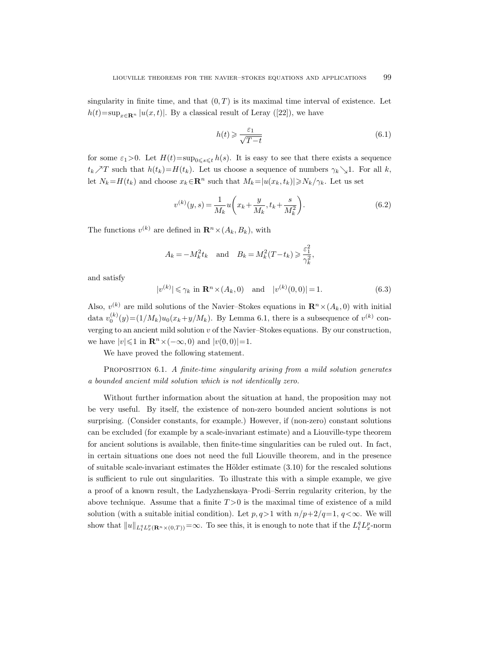singularity in finite time, and that  $(0, T)$  is its maximal time interval of existence. Let  $h(t)=\sup_{x\in\mathbf{R}^n} |u(x,t)|$ . By a classical result of Leray ([22]), we have

$$
h(t) \geqslant \frac{\varepsilon_1}{\sqrt{T - t}}\tag{6.1}
$$

for some  $\varepsilon_1>0$ . Let  $H(t)=\sup_{0\leq s\leq t}h(s)$ . It is easy to see that there exists a sequence  $t_k \nearrow T$  such that  $h(t_k)=H(t_k)$ . Let us choose a sequence of numbers  $\gamma_k \searrow 1$ . For all k, let  $N_k=H(t_k)$  and choose  $x_k \in \mathbb{R}^n$  such that  $M_k=|u(x_k, t_k)| \ge N_k/\gamma_k$ . Let us set

$$
v^{(k)}(y,s) = \frac{1}{M_k} u\left(x_k + \frac{y}{M_k}, t_k + \frac{s}{M_k^2}\right).
$$
 (6.2)

The functions  $v^{(k)}$  are defined in  $\mathbf{R}^n \times (A_k, B_k)$ , with

$$
A_k = -M_k^2 t_k \quad \text{and} \quad B_k = M_k^2 (T - t_k) \ge \frac{\varepsilon_1^2}{\gamma_k^2},
$$

and satisfy

$$
|v^{(k)}| \le \gamma_k \text{ in } \mathbf{R}^n \times (A_k, 0) \quad \text{and} \quad |v^{(k)}(0,0)| = 1. \tag{6.3}
$$

Also,  $v^{(k)}$  are mild solutions of the Navier–Stokes equations in  $\mathbf{R}^n \times (A_k, 0)$  with initial data  $v_0^{(k)}(y) = (1/M_k)u_0(x_k + y/M_k)$ . By Lemma 6.1, there is a subsequence of  $v^{(k)}$  converging to an ancient mild solution  $v$  of the Navier–Stokes equations. By our construction, we have  $|v| \leq 1$  in  $\mathbb{R}^n \times (-\infty, 0)$  and  $|v(0, 0)| = 1$ .

We have proved the following statement.

PROPOSITION 6.1. A finite-time singularity arising from a mild solution generates a bounded ancient mild solution which is not identically zero.

Without further information about the situation at hand, the proposition may not be very useful. By itself, the existence of non-zero bounded ancient solutions is not surprising. (Consider constants, for example.) However, if (non-zero) constant solutions can be excluded (for example by a scale-invariant estimate) and a Liouville-type theorem for ancient solutions is available, then finite-time singularities can be ruled out. In fact, in certain situations one does not need the full Liouville theorem, and in the presence of suitable scale-invariant estimates the Hölder estimate  $(3.10)$  for the rescaled solutions is sufficient to rule out singularities. To illustrate this with a simple example, we give a proof of a known result, the Ladyzhenskaya–Prodi–Serrin regularity criterion, by the above technique. Assume that a finite  $T > 0$  is the maximal time of existence of a mild solution (with a suitable initial condition). Let  $p, q>1$  with  $n/p+2/q=1, q<\infty$ . We will show that  $||u||_{L_t^q L_x^p(\mathbf{R}^n \times (0,T))} = \infty$ . To see this, it is enough to note that if the  $L_t^q L_x^p$ -norm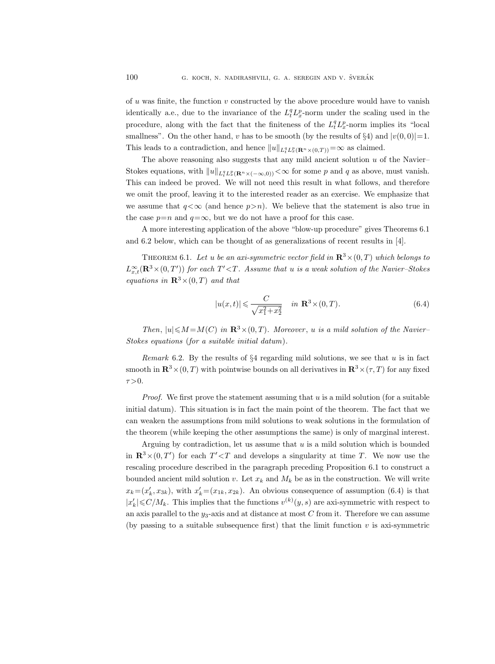of u was finite, the function  $v$  constructed by the above procedure would have to vanish identically a.e., due to the invariance of the  $L_t^q L_x^p$ -norm under the scaling used in the procedure, along with the fact that the finiteness of the  $L_t^q L_x^p$ -norm implies its "local smallness". On the other hand, v has to be smooth (by the results of §4) and  $|v(0, 0)|=1$ . This leads to a contradiction, and hence  $||u||_{L_t^q L_x^p(\mathbf{R}^n \times (0,T))} = \infty$  as claimed.

The above reasoning also suggests that any mild ancient solution  $u$  of the Navier– Stokes equations, with  $||u||_{L_t^q L_x^p(\mathbf{R}^n \times (-\infty,0))} < \infty$  for some p and q as above, must vanish. This can indeed be proved. We will not need this result in what follows, and therefore we omit the proof, leaving it to the interested reader as an exercise. We emphasize that we assume that  $q<\infty$  (and hence  $p>n$ ). We believe that the statement is also true in the case  $p=n$  and  $q=\infty$ , but we do not have a proof for this case.

A more interesting application of the above "blow-up procedure" gives Theorems 6.1 and 6.2 below, which can be thought of as generalizations of recent results in [4].

THEOREM 6.1. Let u be an axi-symmetric vector field in  $\mathbb{R}^3 \times (0,T)$  which belongs to  $L_{x,t}^{\infty}(\mathbf{R}^3\times(0,T'))$  for each  $T'$ < T. Assume that u is a weak solution of the Navier–Stokes equations in  $\mathbb{R}^3 \times (0,T)$  and that

$$
|u(x,t)| \leqslant \frac{C}{\sqrt{x_1^2 + x_2^2}} \quad \text{in } \mathbf{R}^3 \times (0,T). \tag{6.4}
$$

Then,  $|u| \le M = M(C)$  in  $\mathbb{R}^3 \times (0,T)$ . Moreover, u is a mild solution of the Navier-Stokes equations (for a suitable initial datum).

Remark 6.2. By the results of  $\S 4$  regarding mild solutions, we see that u is in fact smooth in  $\mathbb{R}^3 \times (0,T)$  with pointwise bounds on all derivatives in  $\mathbb{R}^3 \times (\tau, T)$  for any fixed  $\tau > 0$ .

*Proof.* We first prove the statement assuming that  $u$  is a mild solution (for a suitable initial datum). This situation is in fact the main point of the theorem. The fact that we can weaken the assumptions from mild solutions to weak solutions in the formulation of the theorem (while keeping the other assumptions the same) is only of marginal interest.

Arguing by contradiction, let us assume that  $u$  is a mild solution which is bounded in  $\mathbb{R}^3 \times (0,T')$  for each  $T' < T$  and develops a singularity at time T. We now use the rescaling procedure described in the paragraph preceding Proposition 6.1 to construct a bounded ancient mild solution v. Let  $x_k$  and  $M_k$  be as in the construction. We will write  $x_k = (x'_k, x_{3k})$ , with  $x'_k = (x_{1k}, x_{2k})$ . An obvious consequence of assumption (6.4) is that  $|x'_k| \leq C/M_k$ . This implies that the functions  $v^{(k)}(y, s)$  are axi-symmetric with respect to an axis parallel to the  $y_3$ -axis and at distance at most C from it. Therefore we can assume (by passing to a suitable subsequence first) that the limit function  $v$  is axi-symmetric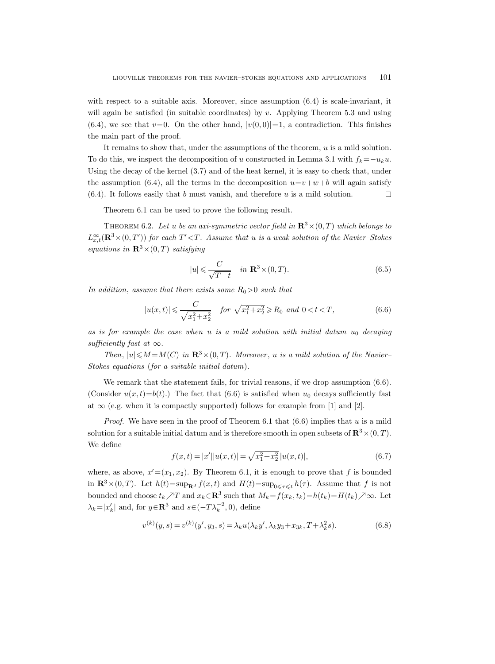with respect to a suitable axis. Moreover, since assumption  $(6.4)$  is scale-invariant, it will again be satisfied (in suitable coordinates) by  $v$ . Applying Theorem 5.3 and using  $(6.4)$ , we see that  $v=0$ . On the other hand,  $|v(0,0)|=1$ , a contradiction. This finishes the main part of the proof.

It remains to show that, under the assumptions of the theorem, u is a mild solution. To do this, we inspect the decomposition of u constructed in Lemma 3.1 with  $f_k = -u_k u$ . Using the decay of the kernel (3.7) and of the heat kernel, it is easy to check that, under the assumption (6.4), all the terms in the decomposition  $u=v+w+b$  will again satisfy  $(6.4)$ . It follows easily that b must vanish, and therefore u is a mild solution.  $\Box$ 

Theorem 6.1 can be used to prove the following result.

THEOREM 6.2. Let u be an axi-symmetric vector field in  $\mathbb{R}^3 \times (0,T)$  which belongs to  $L_{x,t}^{\infty}(\mathbf{R}^3\times(0,T'))$  for each  $T'$ < T. Assume that u is a weak solution of the Navier-Stokes equations in  $\mathbb{R}^3 \times (0,T)$  satisfying

$$
|u| \leqslant \frac{C}{\sqrt{T-t}} \quad \text{in } \mathbf{R}^3 \times (0, T). \tag{6.5}
$$

In addition, assume that there exists some  $R_0>0$  such that

$$
|u(x,t)| \leq \frac{C}{\sqrt{x_1^2 + x_2^2}} \quad \text{for } \sqrt{x_1^2 + x_2^2} \geq R_0 \text{ and } 0 < t < T,\tag{6.6}
$$

as is for example the case when u is a mild solution with initial datum  $u_0$  decaying sufficiently fast at  $\infty$ .

Then,  $|u| \leq M = M(C)$  in  $\mathbb{R}^3 \times (0,T)$ . Moreover, u is a mild solution of the Navier– Stokes equations (for a suitable initial datum).

We remark that the statement fails, for trivial reasons, if we drop assumption  $(6.6)$ . (Consider  $u(x,t) = b(t)$ .) The fact that (6.6) is satisfied when  $u_0$  decays sufficiently fast at  $\infty$  (e.g. when it is compactly supported) follows for example from [1] and [2].

*Proof.* We have seen in the proof of Theorem 6.1 that  $(6.6)$  implies that u is a mild solution for a suitable initial datum and is therefore smooth in open subsets of  $\mathbb{R}^3 \times (0,T)$ . We define

$$
f(x,t) = |x'||u(x,t)| = \sqrt{x_1^2 + x_2^2} |u(x,t)|,
$$
\n(6.7)

where, as above,  $x' = (x_1, x_2)$ . By Theorem 6.1, it is enough to prove that f is bounded in  $\mathbb{R}^3 \times (0,T)$ . Let  $h(t) = \sup_{\mathbb{R}^3} f(x,t)$  and  $H(t) = \sup_{0 \le \tau \le t} h(\tau)$ . Assume that f is not bounded and choose  $t_k \nearrow T$  and  $x_k \in \mathbb{R}^3$  such that  $M_k = f(x_k, t_k) = h(t_k) = H(t_k) \nearrow \infty$ . Let  $\lambda_k = |x'_k|$  and, for  $y \in \mathbb{R}^3$  and  $s \in (-T\lambda_k^{-2}, 0)$ , define

$$
v^{(k)}(y,s) = v^{(k)}(y',y_3,s) = \lambda_k u(\lambda_k y', \lambda_k y_3 + x_{3k}, T + \lambda_k^2 s). \tag{6.8}
$$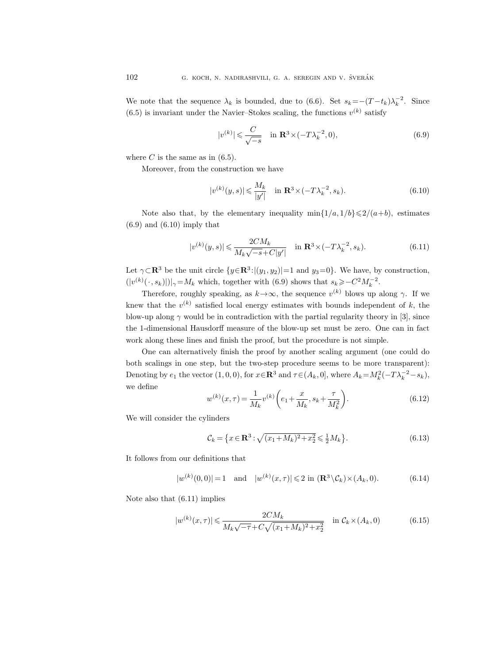We note that the sequence  $\lambda_k$  is bounded, due to (6.6). Set  $s_k = -(T - t_k)\lambda_k^{-2}$ . Since  $(6.5)$  is invariant under the Navier-Stokes scaling, the functions  $v^{(k)}$  satisfy

$$
|v^{(k)}| \leq \frac{C}{\sqrt{-s}} \quad \text{in } \mathbf{R}^3 \times (-T\lambda_k^{-2}, 0), \tag{6.9}
$$

where  $C$  is the same as in  $(6.5)$ .

Moreover, from the construction we have

$$
|v^{(k)}(y,s)| \leqslant \frac{M_k}{|y'|} \quad \text{in } \mathbf{R}^3 \times (-T\lambda_k^{-2}, s_k). \tag{6.10}
$$

Note also that, by the elementary inequality  $\min\{1/a, 1/b\} \leq 2/(a+b)$ , estimates  $(6.9)$  and  $(6.10)$  imply that

$$
|v^{(k)}(y,s)| \leq \frac{2CM_k}{M_k\sqrt{-s} + C|y'|} \quad \text{in } \mathbf{R}^3 \times (-T\lambda_k^{-2}, s_k). \tag{6.11}
$$

Let  $\gamma \subset \mathbb{R}^3$  be the unit circle  $\{y \in \mathbb{R}^3 : |(y_1, y_2)| = 1 \text{ and } y_3 = 0\}$ . We have, by construction,  $(|v^{(k)}(\cdot, s_k)|)|_{\gamma} = M_k$  which, together with (6.9) shows that  $s_k \geqslant -C^2 M_k^{-2}$ .

Therefore, roughly speaking, as  $k \rightarrow \infty$ , the sequence  $v^{(k)}$  blows up along  $\gamma$ . If we knew that the  $v^{(k)}$  satisfied local energy estimates with bounds independent of k, the blow-up along  $\gamma$  would be in contradiction with the partial regularity theory in [3], since the 1-dimensional Hausdorff measure of the blow-up set must be zero. One can in fact work along these lines and finish the proof, but the procedure is not simple.

One can alternatively finish the proof by another scaling argument (one could do both scalings in one step, but the two-step procedure seems to be more transparent): Denoting by  $e_1$  the vector  $(1,0,0)$ , for  $x \in \mathbb{R}^3$  and  $\tau \in (A_k,0]$ , where  $A_k = M_k^2(-T\lambda_k^{-2} - s_k)$ , we define

$$
w^{(k)}(x,\tau) = \frac{1}{M_k} v^{(k)} \left( e_1 + \frac{x}{M_k}, s_k + \frac{\tau}{M_k^2} \right).
$$
 (6.12)

We will consider the cylinders

$$
\mathcal{C}_k = \left\{ x \in \mathbf{R}^3 : \sqrt{(x_1 + M_k)^2 + x_2^2} \le \frac{1}{2} M_k \right\}.
$$
\n(6.13)

It follows from our definitions that

$$
|w^{(k)}(0,0)|=1
$$
 and  $|w^{(k)}(x,\tau)| \leq 2$  in  $(\mathbf{R}^3 \setminus C_k) \times (A_k, 0).$  (6.14)

Note also that (6.11) implies

$$
|w^{(k)}(x,\tau)| \leq \frac{2CM_k}{M_k\sqrt{-\tau} + C\sqrt{(x_1 + M_k)^2 + x_2^2}} \quad \text{in } \mathcal{C}_k \times (A_k, 0) \tag{6.15}
$$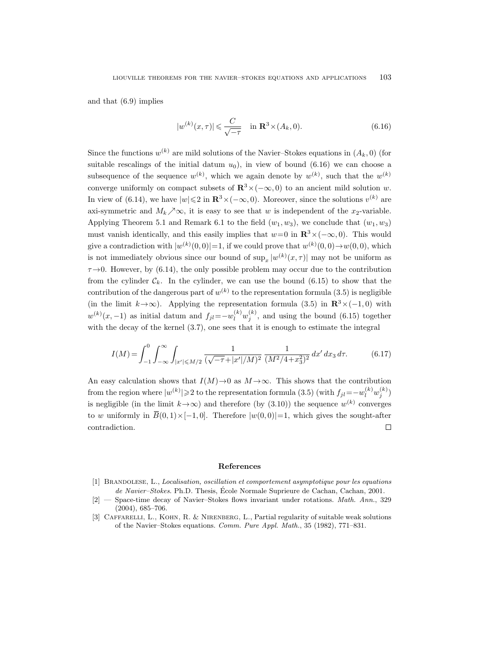and that (6.9) implies

$$
|w^{(k)}(x,\tau)| \leqslant \frac{C}{\sqrt{-\tau}} \quad \text{in } \mathbf{R}^3 \times (A_k,0). \tag{6.16}
$$

Since the functions  $w^{(k)}$  are mild solutions of the Navier–Stokes equations in  $(A_k, 0)$  (for suitable rescalings of the initial datum  $u_0$ ), in view of bound (6.16) we can choose a subsequence of the sequence  $w^{(k)}$ , which we again denote by  $w^{(k)}$ , such that the  $w^{(k)}$ converge uniformly on compact subsets of  $\mathbb{R}^3 \times (-\infty, 0)$  to an ancient mild solution w. In view of (6.14), we have  $|w| \leq 2$  in  $\mathbb{R}^3 \times (-\infty, 0)$ . Moreover, since the solutions  $v^{(k)}$  are axi-symmetric and  $M_k \nearrow \infty$ , it is easy to see that w is independent of the x<sub>2</sub>-variable. Applying Theorem 5.1 and Remark 6.1 to the field  $(w_1, w_3)$ , we conclude that  $(w_1, w_3)$ must vanish identically, and this easily implies that  $w=0$  in  $\mathbb{R}^3\times(-\infty,0)$ . This would give a contradiction with  $|w^{(k)}(0,0)|=1$ , if we could prove that  $w^{(k)}(0,0) \to w(0,0)$ , which is not immediately obvious since our bound of  $\sup_x |w^{(k)}(x, \tau)|$  may not be uniform as  $\tau \rightarrow 0$ . However, by (6.14), the only possible problem may occur due to the contribution from the cylinder  $C_k$ . In the cylinder, we can use the bound (6.15) to show that the contribution of the dangerous part of  $w^{(k)}$  to the representation formula (3.5) is negligible (in the limit  $k \rightarrow \infty$ ). Applying the representation formula (3.5) in  $\mathbb{R}^3 \times (-1, 0)$  with  $w^{(k)}(x, -1)$  as initial datum and  $f_{jl} = -w_l^{(k)}w_j^{(k)}$ , and using the bound (6.15) together with the decay of the kernel  $(3.7)$ , one sees that it is enough to estimate the integral contribution of the dain<br>
(in the limit  $k \to \infty$ )<br>  $w^{(k)}(x, -1)$  as initial<br>
with the decay of the<br>  $I(M) = \int_{-1}^{0} \int_{-1}^{0}$ <br>
An easy calculation<br>
from the region where<br>
is negligible (in the l<br>
to w uniformly in  $\overline{B}$ 

$$
I(M) = \int_{-1}^{0} \int_{-\infty}^{\infty} \int_{|x'| \le M/2} \frac{1}{(\sqrt{-\tau} + |x'|/M)^2} \frac{1}{(M^2/4 + x_3^2)^2} dx' dx_3 d\tau.
$$
 (6.17)

An easy calculation shows that  $I(M) \to 0$  as  $M \to \infty$ . This shows that the contribution from the region where  $|w^{(k)}| \geqslant 2$  to the representation formula (3.5) (with  $f_{jl} = -w_l^{(k)} w_j^{(k)}$ ) is negligible (in the limit  $k \rightarrow \infty$ ) and therefore (by (3.10)) the sequence  $w^{(k)}$  converges to w uniformly in  $\overline{B}(0,1)\times[-1,0]$ . Therefore  $|w(0,0)|=1$ , which gives the sought-after contradiction.  $\Box$ 

#### References

- [1] Brandolese, L., Localisation, oscillation et comportement asymptotique pour les equations de Navier–Stokes. Ph.D. Thesis, École Normale Suprieure de Cachan, Cachan, 2001.
- [2] Space-time decay of Navier–Stokes flows invariant under rotations. Math. Ann., 329 (2004), 685–706.
- [3] Caffarelli, L., Kohn, R. & Nirenberg, L., Partial regularity of suitable weak solutions of the Navier–Stokes equations. Comm. Pure Appl. Math., 35 (1982), 771–831.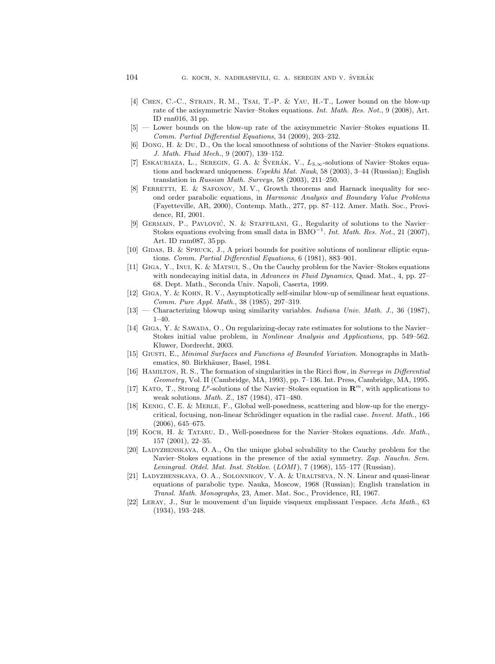- [4] Chen, C.-C., Strain, R. M., Tsai, T.-P. & Yau, H.-T., Lower bound on the blow-up rate of the axisymmetric Navier–Stokes equations. Int. Math. Res. Not., 9 (2008), Art. ID rnn016, 31 pp.
- [5] Lower bounds on the blow-up rate of the axisymmetric Navier–Stokes equations II. Comm. Partial Differential Equations, 34 (2009), 203–232.
- [6] Dong, H. & Du, D., On the local smoothness of solutions of the Navier–Stokes equations. J. Math. Fluid Mech., 9 (2007), 139–152.
- [7] ESKAURIAZA, L., SEREGIN, G. A. & ŠVERÁK, V.,  $L_{3,\infty}$ -solutions of Navier–Stokes equations and backward uniqueness. Uspekhi Mat. Nauk, 58 (2003), 3-44 (Russian); English translation in Russian Math. Surveys, 58 (2003), 211–250.
- [8] FERRETTI, E. & SAFONOV, M.V., Growth theorems and Harnack inequality for second order parabolic equations, in Harmonic Analysis and Boundary Value Problems (Fayetteville, AR, 2000), Contemp. Math., 277, pp. 87–112. Amer. Math. Soc., Providence, RI, 2001.
- [9] GERMAIN, P., PAVLOVIĆ, N. & STAFFILANI, G., Regularity of solutions to the Navier– Stokes equations evolving from small data in  $BMO^{-1}$ . Int. Math. Res. Not., 21 (2007), Art. ID rnm087, 35 pp.
- [10] GIDAS, B. & SPRUCK, J., A priori bounds for positive solutions of nonlinear elliptic equations. Comm. Partial Differential Equations, 6 (1981), 883–901.
- [11] Giga, Y., Inui, K. & Matsui, S., On the Cauchy problem for the Navier–Stokes equations with nondecaying initial data, in *Advances in Fluid Dynamics*, Quad. Mat., 4, pp. 27– 68. Dept. Math., Seconda Univ. Napoli, Caserta, 1999.
- [12] Giga, Y. & Kohn, R. V., Asymptotically self-similar blow-up of semilinear heat equations. Comm. Pure Appl. Math., 38 (1985), 297–319.
- [13] Characterizing blowup using similarity variables. Indiana Univ. Math. J., 36 (1987),  $1 - 40.$
- [14] Giga, Y. & Sawada, O., On regularizing-decay rate estimates for solutions to the Navier– Stokes initial value problem, in Nonlinear Analysis and Applications, pp. 549–562. Kluwer, Dordrecht, 2003.
- [15] Giusti, E., Minimal Surfaces and Functions of Bounded Variation. Monographs in Mathematics, 80. Birkhäuser, Basel, 1984.
- [16] HAMILTON, R. S., The formation of singularities in the Ricci flow, in Surveys in Differential Geometry, Vol. II (Cambridge, MA, 1993), pp. 7–136. Int. Press, Cambridge, MA, 1995.
- [17] KATO, T., Strong  $L^p$ -solutions of the Navier–Stokes equation in  $\mathbb{R}^m$ , with applications to weak solutions. Math. Z., 187 (1984), 471–480.
- [18] Kenig, C. E. & Merle, F., Global well-posedness, scattering and blow-up for the energycritical, focusing, non-linear Schrödinger equation in the radial case. Invent. Math., 166 (2006), 645–675.
- [19] KOCH, H. & TATARU, D., Well-posedness for the Navier–Stokes equations. Adv. Math., 157 (2001), 22–35.
- [20] LADYZHENSKAYA, O. A., On the unique global solvability to the Cauchy problem for the Navier–Stokes equations in the presence of the axial symmetry. Zap. Nauchn. Sem. Leningrad. Otdel. Mat. Inst. Steklov.  $(LOMI)$ , 7 (1968), 155–177 (Russian).
- [21] Ladyzhenskaya, O. A., Solonnikov, V. A. & Uraltseva, N. N. Linear and quasi-linear equations of parabolic type. Nauka, Moscow, 1968 (Russian); English translation in Transl. Math. Monographs, 23, Amer. Mat. Soc., Providence, RI, 1967.
- [22] Leray, J., Sur le mouvement d'un liquide visqueux emplissant l'espace. Acta Math., 63 (1934), 193–248.